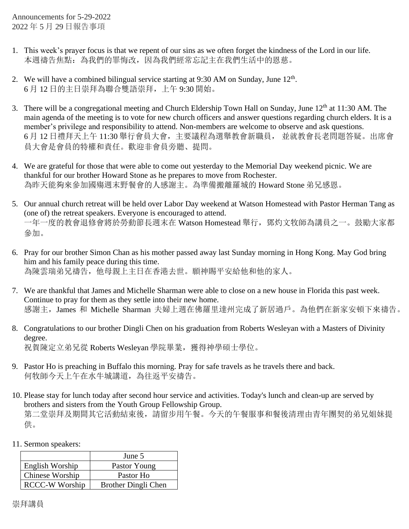Announcements for 5-29-2022 2022 年 5 月 29 日報告事項

- 1. This week's prayer focus is that we repent of our sins as we often forget the kindness of the Lord in our life. 本週禱告焦點:為我們的罪悔改,因為我們經常忘記主在我們生活中的恩慈。
- 2. We will have a combined bilingual service starting at  $9:30$  AM on Sunday, June  $12<sup>th</sup>$ . 6 月 12 日的主日崇拜為聯合雙語崇拜,上午 9:30 開始。
- 3. There will be a congregational meeting and Church Eldership Town Hall on Sunday, June 12<sup>th</sup> at 11:30 AM. The main agenda of the meeting is to vote for new church officers and answer questions regarding church elders. It is a member's privilege and responsibility to attend. Non-members are welcome to observe and ask questions. 6 月 12 日禮拜天上午 11:30 舉行會員大會,主要議程為選舉教會新職員, 並就教會長老問題答疑。出席會 員大會是會員的特權和責任。歡迎非會員旁聽、提問。
- 4. We are grateful for those that were able to come out yesterday to the Memorial Day weekend picnic. We are thankful for our brother Howard Stone as he prepares to move from Rochester. 為昨天能夠來參加國殤週末野餐會的人感謝主。為準備搬離羅城的 Howard Stone 弟兄感恩。
- 5. Our annual church retreat will be held over Labor Day weekend at Watson Homestead with Pastor Herman Tang as (one of) the retreat speakers. Everyone is encouraged to attend. 一年一度的教會退修會將於勞動節長週末在 Watson Homestead 舉行,鄧灼文牧師為講員之一。鼓勵大家都 參加。
- 6. Pray for our brother Simon Chan as his mother passed away last Sunday morning in Hong Kong. May God bring him and his family peace during this time. 為陳雲瑞弟兄禱告,他母親上主日在香港去世。願神賜平安給他和他的家人。
- 7. We are thankful that James and Michelle Sharman were able to close on a new house in Florida this past week. Continue to pray for them as they settle into their new home. 感謝主,James 和 Michelle Sharman 夫婦上週在佛羅里達州完成了新居過戶。為他們在新家安頓下來禱告。
- 8. Congratulations to our brother Dingli Chen on his graduation from Roberts Wesleyan with a Masters of Divinity degree. 祝賀陳定立弟兄從 Roberts Wesleyan 學院畢業, 獲得神學碩士學位。
- 9. Pastor Ho is preaching in Buffalo this morning. Pray for safe travels as he travels there and back. 何牧師今天上午在水牛城講道,為往返平安禱告。
- 10. Please stay for lunch today after second hour service and activities. Today's lunch and clean-up are served by brothers and sisters from the Youth Group Fellowship Group. 第二堂崇拜及期間其它活動結束後,請留步用午餐。今天的午餐服事和餐後清理由青年團契的弟兄姐妹提 供。
- 11. Sermon speakers:

|                       | June 5              |
|-----------------------|---------------------|
| English Worship       | Pastor Young        |
| Chinese Worship       | Pastor Ho           |
| <b>RCCC-W Worship</b> | Brother Dingli Chen |